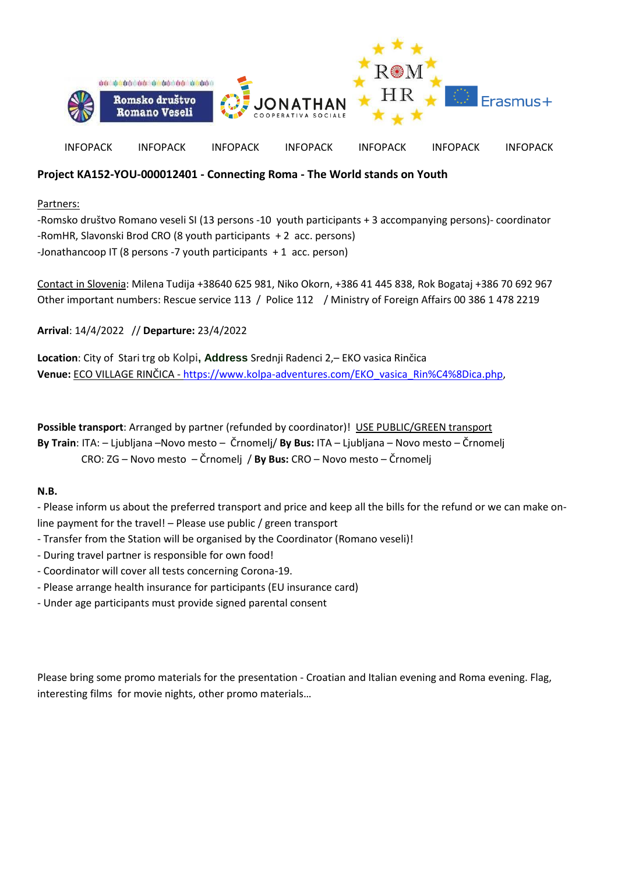

## **Project KA152-YOU-000012401 - Connecting Roma - The World stands on Youth**

Partners:

-Romsko društvo Romano veseli SI (13 persons -10 youth participants + 3 accompanying persons)- coordinator -RomHR, Slavonski Brod CRO (8 youth participants + 2 acc. persons) -Jonathancoop IT (8 persons -7 youth participants + 1 acc. person)

Contact in Slovenia: Milena Tudija +38640 625 981, Niko Okorn, +386 41 445 838, Rok Bogataj +386 70 692 967 Other important numbers: Rescue service 113 / Police 112 / Ministry of Foreign Affairs 00 386 1 478 2219

**Arrival**: 14/4/2022 // **Departure:** 23/4/2022

**Location**: City of Stari trg ob Kolpi**, Address** Srednji Radenci 2,– EKO vasica Rinčica **Venue:** ECO VILLAGE RINČICA - [https://www.kolpa-adventures.com/EKO\\_vasica\\_Rin%C4%8Dica.php,](https://www.kolpa-adventures.com/EKO_vasica_Rin%C4%8Dica.php)

**Possible transport**: Arranged by partner (refunded by coordinator)! USE PUBLIC/GREEN transport **By Train**: ITA: – Ljubljana –Novo mesto – Črnomelj/ **By Bus:** ITA – Ljubljana – Novo mesto – Črnomelj CRO: ZG – Novo mesto – Črnomelj / **By Bus:** CRO – Novo mesto – Črnomelj

## **N.B.**

- Please inform us about the preferred transport and price and keep all the bills for the refund or we can make online payment for the travel! – Please use public / green transport

- Transfer from the Station will be organised by the Coordinator (Romano veseli)!
- During travel partner is responsible for own food!
- Coordinator will cover all tests concerning Corona-19.
- Please arrange health insurance for participants (EU insurance card)
- Under age participants must provide signed parental consent

Please bring some promo materials for the presentation - Croatian and Italian evening and Roma evening. Flag, interesting films for movie nights, other promo materials…